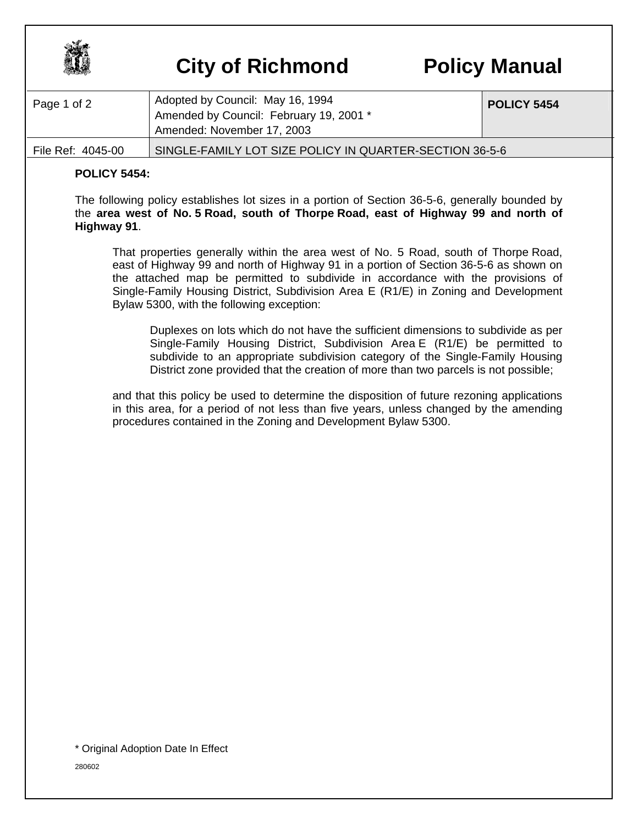

## **City of Richmond Policy Manual**

| Page 1 of 2       | Adopted by Council: May 16, 1994<br>Amended by Council: February 19, 2001 *<br>Amended: November 17, 2003 | POLICY 5454 |
|-------------------|-----------------------------------------------------------------------------------------------------------|-------------|
| File Ref: 4045-00 | SINGLE-FAMILY LOT SIZE POLICY IN QUARTER-SECTION 36-5-6                                                   |             |

## **POLICY 5454:**

The following policy establishes lot sizes in a portion of Section 36-5-6, generally bounded by the **area west of No. 5 Road, south of Thorpe Road, east of Highway 99 and north of Highway 91**.

That properties generally within the area west of No. 5 Road, south of Thorpe Road, east of Highway 99 and north of Highway 91 in a portion of Section 36-5-6 as shown on the attached map be permitted to subdivide in accordance with the provisions of Single-Family Housing District, Subdivision Area E (R1/E) in Zoning and Development Bylaw 5300, with the following exception:

Duplexes on lots which do not have the sufficient dimensions to subdivide as per Single-Family Housing District, Subdivision Area E (R1/E) be permitted to subdivide to an appropriate subdivision category of the Single-Family Housing District zone provided that the creation of more than two parcels is not possible;

and that this policy be used to determine the disposition of future rezoning applications in this area, for a period of not less than five years, unless changed by the amending procedures contained in the Zoning and Development Bylaw 5300.